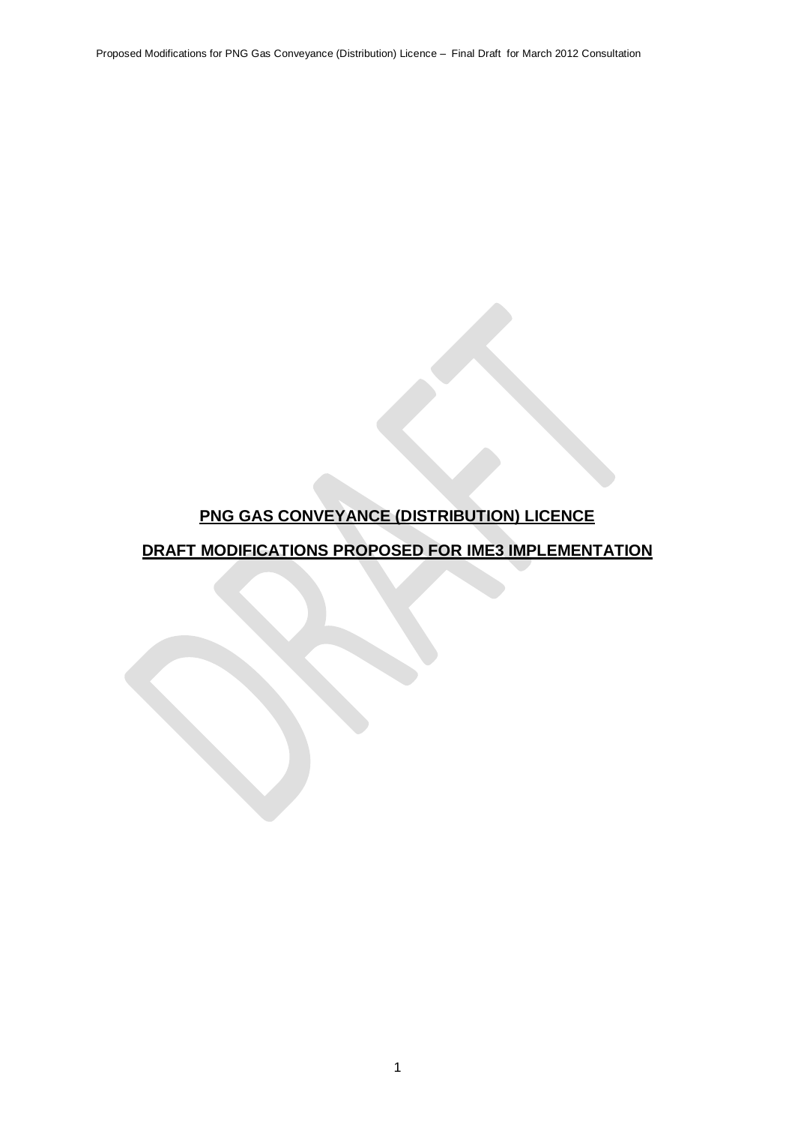Proposed Modifications for PNG Gas Conveyance (Distribution) Licence – Final Draft for March 2012 Consultation

# **PNG GAS CONVEYANCE (DISTRIBUTION) LICENCE**

# **DRAFT MODIFICATIONS PROPOSED FOR IME3 IMPLEMENTATION**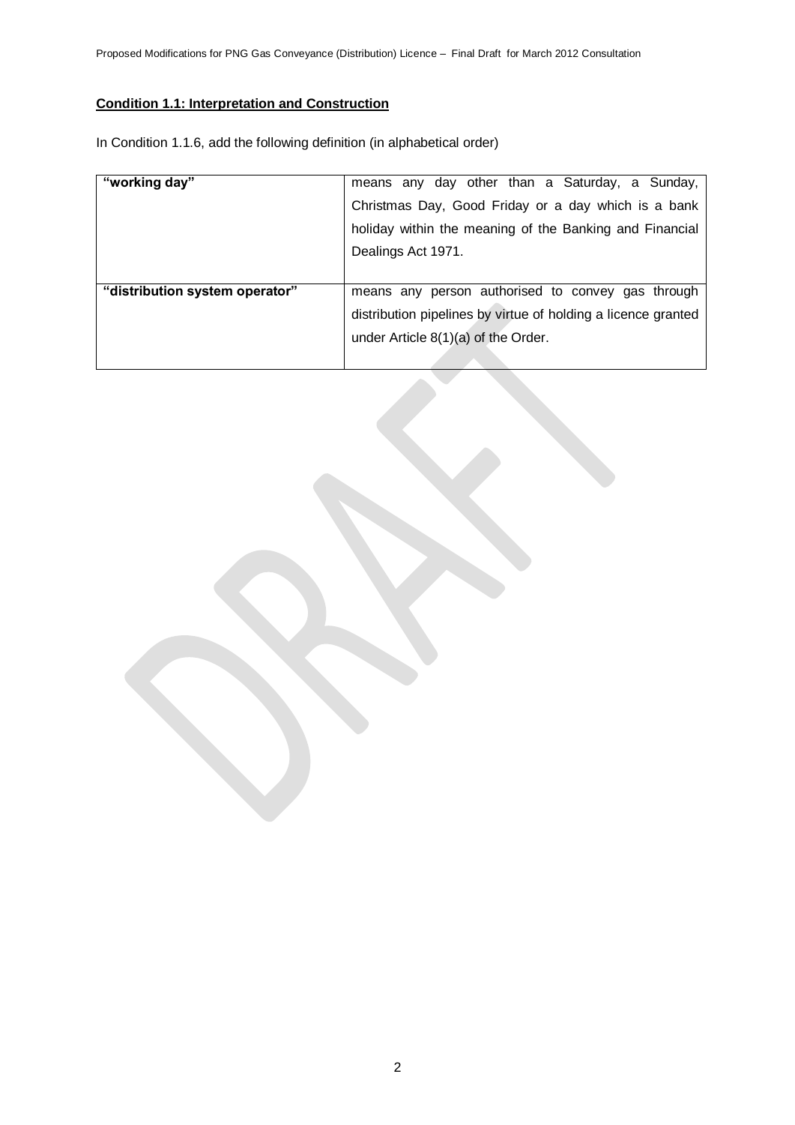# **Condition 1.1: Interpretation and Construction**

In Condition 1.1.6, add the following definition (in alphabetical order)

| "working day"                  | means any day other than a Saturday, a Sunday,                |
|--------------------------------|---------------------------------------------------------------|
|                                | Christmas Day, Good Friday or a day which is a bank           |
|                                | holiday within the meaning of the Banking and Financial       |
|                                | Dealings Act 1971.                                            |
|                                |                                                               |
| "distribution system operator" | means any person authorised to convey gas through             |
|                                | distribution pipelines by virtue of holding a licence granted |
|                                | under Article 8(1)(a) of the Order.                           |
|                                |                                                               |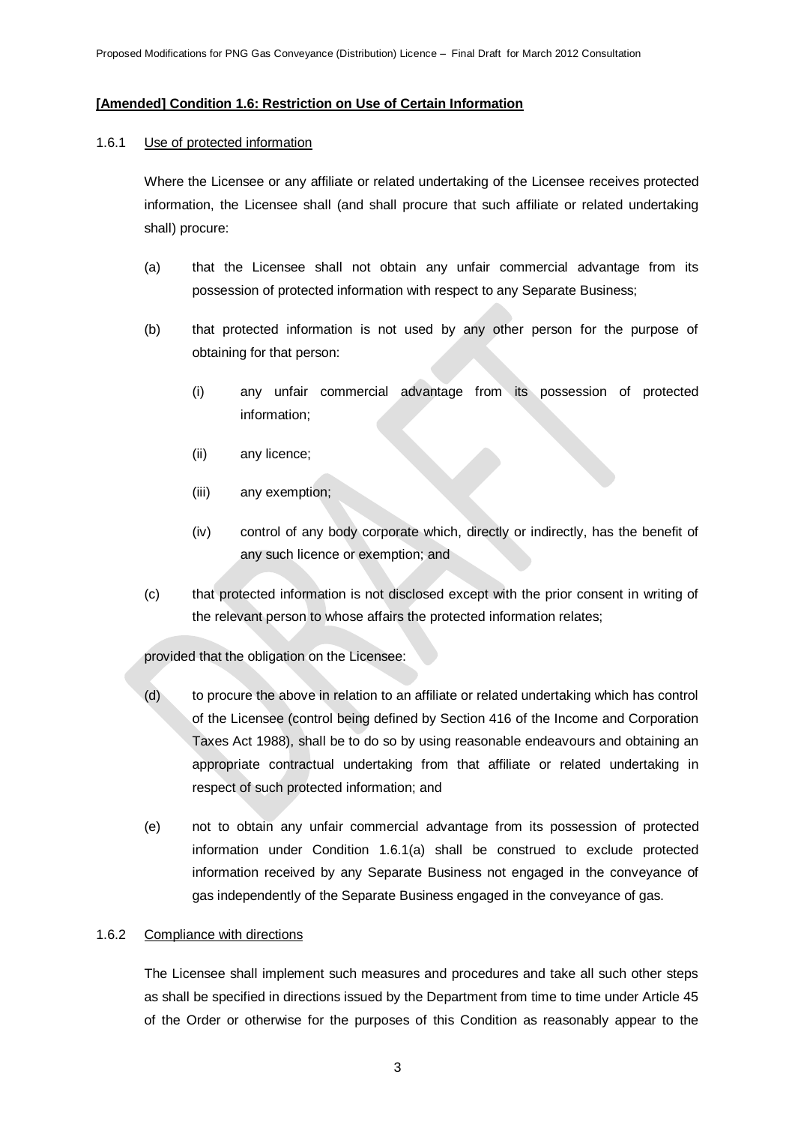### **[Amended] Condition 1.6: Restriction on Use of Certain Information**

#### 1.6.1 Use of protected information

Where the Licensee or any affiliate or related undertaking of the Licensee receives protected information, the Licensee shall (and shall procure that such affiliate or related undertaking shall) procure:

- (a) that the Licensee shall not obtain any unfair commercial advantage from its possession of protected information with respect to any Separate Business;
- (b) that protected information is not used by any other person for the purpose of obtaining for that person:
	- (i) any unfair commercial advantage from its possession of protected information;
	- (ii) any licence;
	- (iii) any exemption;
	- (iv) control of any body corporate which, directly or indirectly, has the benefit of any such licence or exemption; and
- (c) that protected information is not disclosed except with the prior consent in writing of the relevant person to whose affairs the protected information relates;

# provided that the obligation on the Licensee:

- (d) to procure the above in relation to an affiliate or related undertaking which has control of the Licensee (control being defined by Section 416 of the Income and Corporation Taxes Act 1988), shall be to do so by using reasonable endeavours and obtaining an appropriate contractual undertaking from that affiliate or related undertaking in respect of such protected information; and
- (e) not to obtain any unfair commercial advantage from its possession of protected information under Condition 1.6.1(a) shall be construed to exclude protected information received by any Separate Business not engaged in the conveyance of gas independently of the Separate Business engaged in the conveyance of gas.

#### 1.6.2 Compliance with directions

The Licensee shall implement such measures and procedures and take all such other steps as shall be specified in directions issued by the Department from time to time under Article 45 of the Order or otherwise for the purposes of this Condition as reasonably appear to the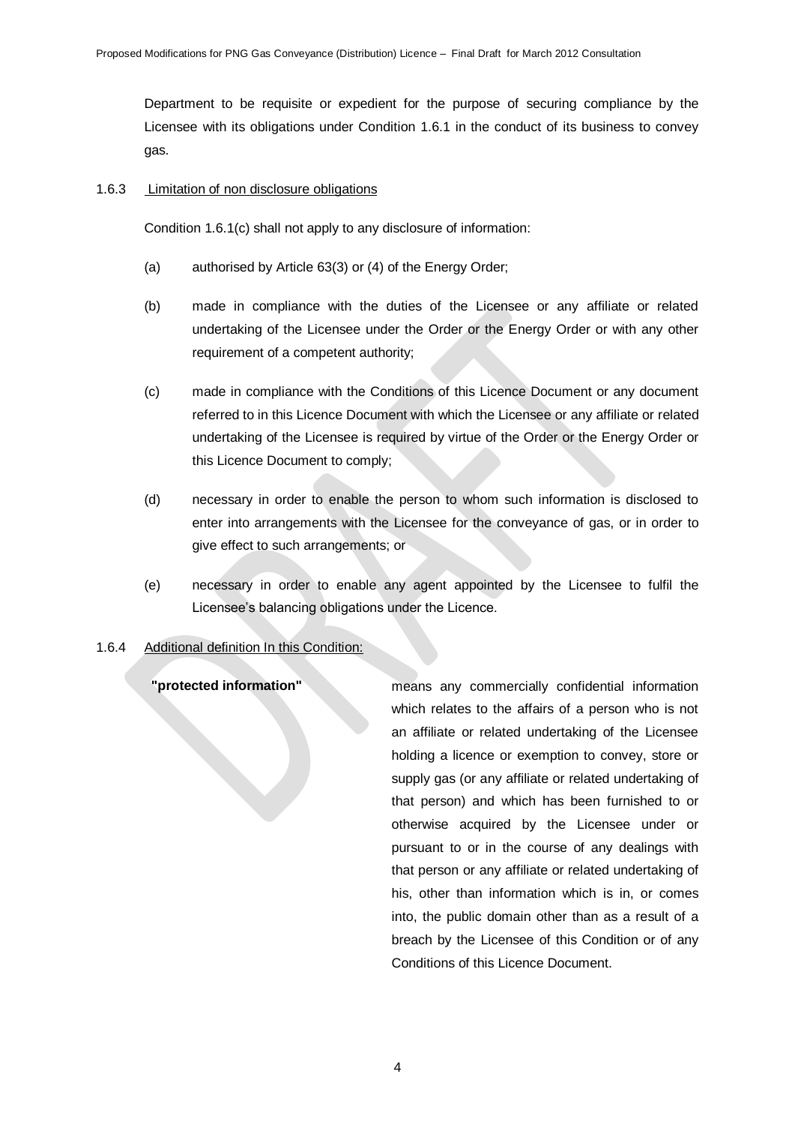Department to be requisite or expedient for the purpose of securing compliance by the Licensee with its obligations under Condition 1.6.1 in the conduct of its business to convey gas.

#### 1.6.3 Limitation of non disclosure obligations

Condition 1.6.1(c) shall not apply to any disclosure of information:

- (a) authorised by Article 63(3) or (4) of the Energy Order;
- (b) made in compliance with the duties of the Licensee or any affiliate or related undertaking of the Licensee under the Order or the Energy Order or with any other requirement of a competent authority;
- (c) made in compliance with the Conditions of this Licence Document or any document referred to in this Licence Document with which the Licensee or any affiliate or related undertaking of the Licensee is required by virtue of the Order or the Energy Order or this Licence Document to comply;
- (d) necessary in order to enable the person to whom such information is disclosed to enter into arrangements with the Licensee for the conveyance of gas, or in order to give effect to such arrangements; or
- (e) necessary in order to enable any agent appointed by the Licensee to fulfil the Licensee's balancing obligations under the Licence.

#### 1.6.4 Additional definition In this Condition:

**"protected information"** means any commercially confidential information which relates to the affairs of a person who is not an affiliate or related undertaking of the Licensee holding a licence or exemption to convey, store or supply gas (or any affiliate or related undertaking of that person) and which has been furnished to or otherwise acquired by the Licensee under or pursuant to or in the course of any dealings with that person or any affiliate or related undertaking of his, other than information which is in, or comes into, the public domain other than as a result of a breach by the Licensee of this Condition or of any Conditions of this Licence Document.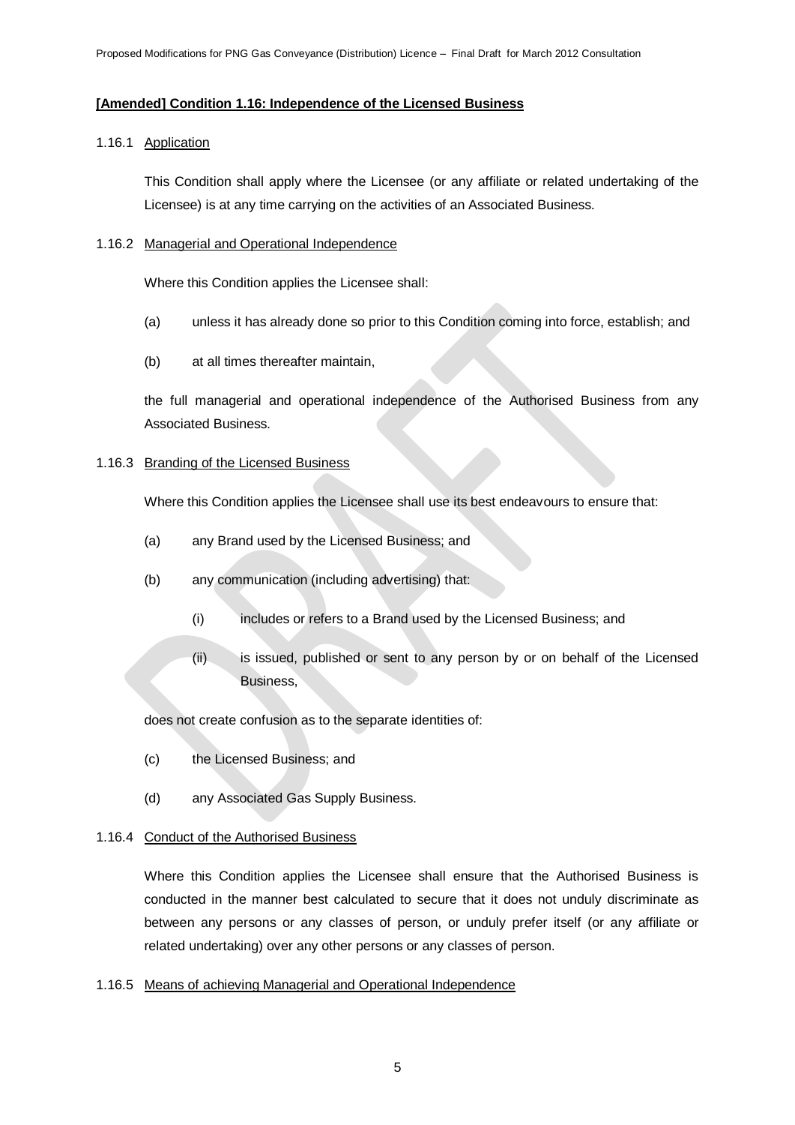# **[Amended] Condition 1.16: Independence of the Licensed Business**

# 1.16.1 Application

This Condition shall apply where the Licensee (or any affiliate or related undertaking of the Licensee) is at any time carrying on the activities of an Associated Business.

#### 1.16.2 Managerial and Operational Independence

Where this Condition applies the Licensee shall:

- (a) unless it has already done so prior to this Condition coming into force, establish; and
- (b) at all times thereafter maintain,

the full managerial and operational independence of the Authorised Business from any Associated Business.

# 1.16.3 Branding of the Licensed Business

Where this Condition applies the Licensee shall use its best endeavours to ensure that:

- (a) any Brand used by the Licensed Business; and
- (b) any communication (including advertising) that:
	- (i) includes or refers to a Brand used by the Licensed Business; and
	- (ii) is issued, published or sent to any person by or on behalf of the Licensed Business,

does not create confusion as to the separate identities of:

- (c) the Licensed Business; and
- (d) any Associated Gas Supply Business.

# 1.16.4 Conduct of the Authorised Business

Where this Condition applies the Licensee shall ensure that the Authorised Business is conducted in the manner best calculated to secure that it does not unduly discriminate as between any persons or any classes of person, or unduly prefer itself (or any affiliate or related undertaking) over any other persons or any classes of person.

# 1.16.5 Means of achieving Managerial and Operational Independence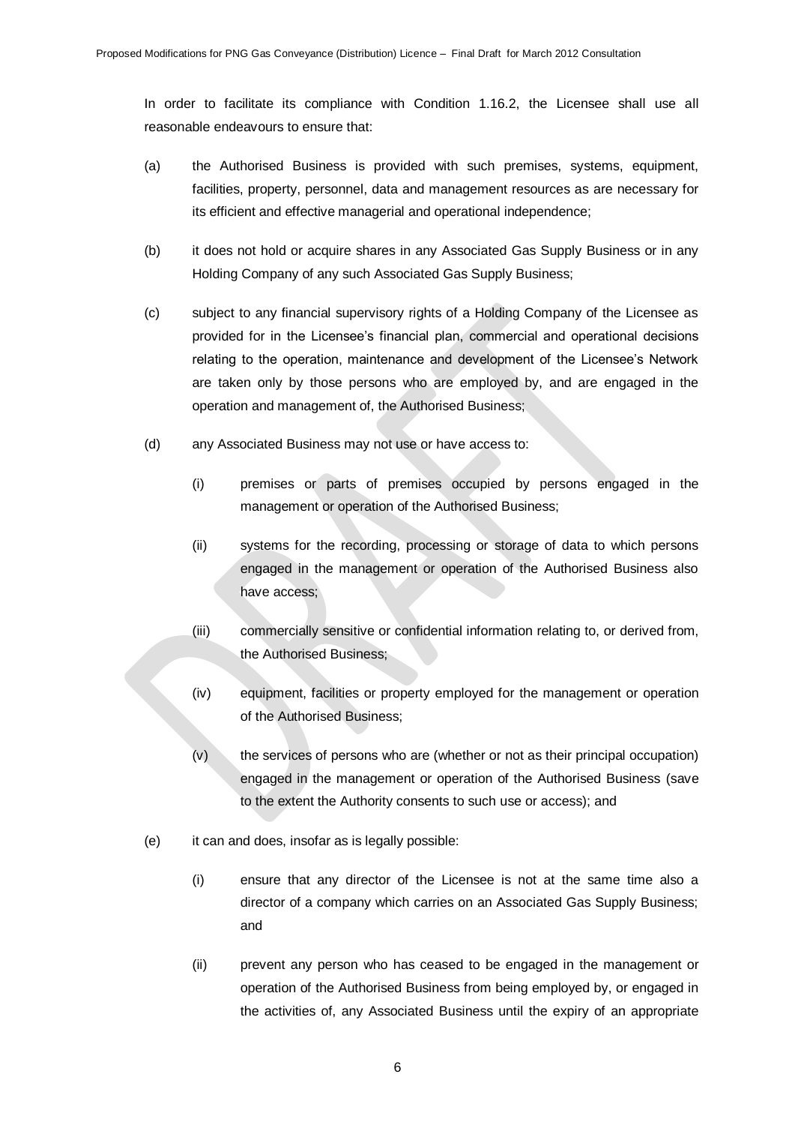In order to facilitate its compliance with Condition 1.16.2, the Licensee shall use all reasonable endeavours to ensure that:

- (a) the Authorised Business is provided with such premises, systems, equipment, facilities, property, personnel, data and management resources as are necessary for its efficient and effective managerial and operational independence;
- (b) it does not hold or acquire shares in any Associated Gas Supply Business or in any Holding Company of any such Associated Gas Supply Business;
- (c) subject to any financial supervisory rights of a Holding Company of the Licensee as provided for in the Licensee's financial plan, commercial and operational decisions relating to the operation, maintenance and development of the Licensee's Network are taken only by those persons who are employed by, and are engaged in the operation and management of, the Authorised Business;
- (d) any Associated Business may not use or have access to:
	- (i) premises or parts of premises occupied by persons engaged in the management or operation of the Authorised Business;
	- (ii) systems for the recording, processing or storage of data to which persons engaged in the management or operation of the Authorised Business also have access;
	- (iii) commercially sensitive or confidential information relating to, or derived from, the Authorised Business;
	- (iv) equipment, facilities or property employed for the management or operation of the Authorised Business;
	- (v) the services of persons who are (whether or not as their principal occupation) engaged in the management or operation of the Authorised Business (save to the extent the Authority consents to such use or access); and
- (e) it can and does, insofar as is legally possible:
	- (i) ensure that any director of the Licensee is not at the same time also a director of a company which carries on an Associated Gas Supply Business; and
	- (ii) prevent any person who has ceased to be engaged in the management or operation of the Authorised Business from being employed by, or engaged in the activities of, any Associated Business until the expiry of an appropriate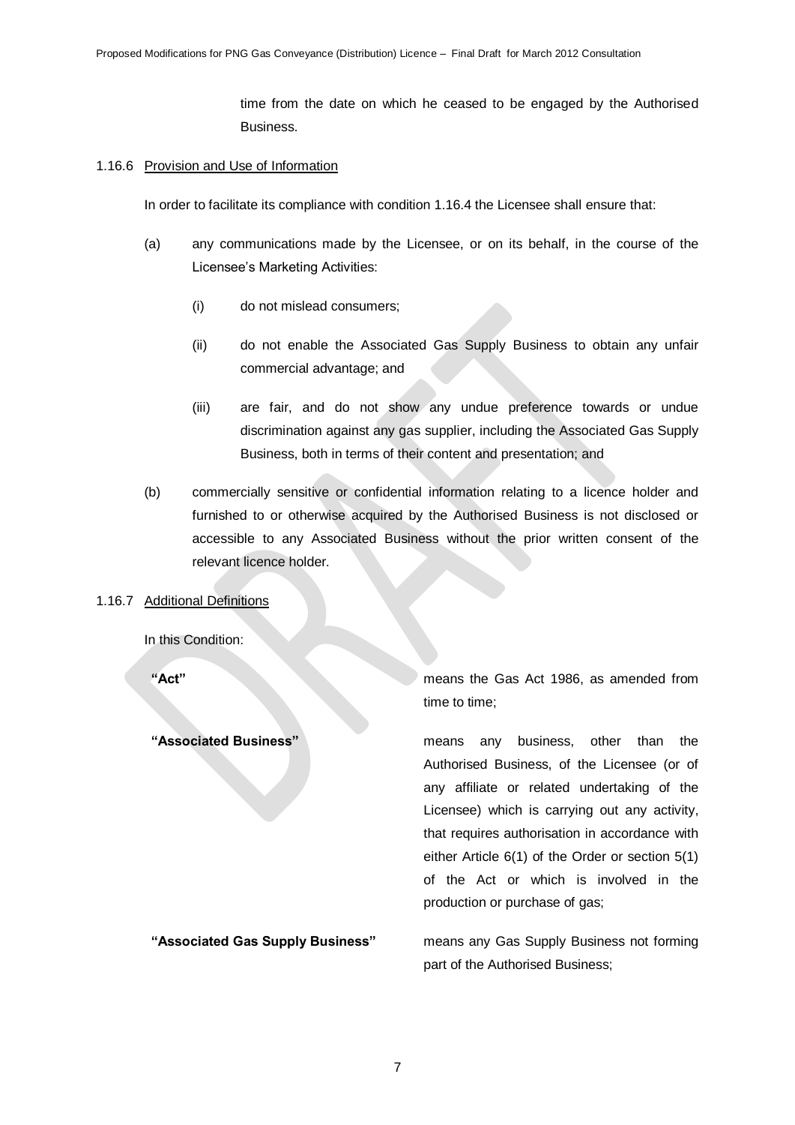time from the date on which he ceased to be engaged by the Authorised Business.

#### 1.16.6 Provision and Use of Information

In order to facilitate its compliance with condition 1.16.4 the Licensee shall ensure that:

- (a) any communications made by the Licensee, or on its behalf, in the course of the Licensee's Marketing Activities:
	- (i) do not mislead consumers;
	- (ii) do not enable the Associated Gas Supply Business to obtain any unfair commercial advantage; and
	- (iii) are fair, and do not show any undue preference towards or undue discrimination against any gas supplier, including the Associated Gas Supply Business, both in terms of their content and presentation; and
- (b) commercially sensitive or confidential information relating to a licence holder and furnished to or otherwise acquired by the Authorised Business is not disclosed or accessible to any Associated Business without the prior written consent of the relevant licence holder.

# 1.16.7 Additional Definitions

In this Condition:

**"Act"** means the Gas Act 1986, as amended from time to time;

**"Associated Business"** means any business, other than the Authorised Business, of the Licensee (or of any affiliate or related undertaking of the Licensee) which is carrying out any activity, that requires authorisation in accordance with either Article 6(1) of the Order or section 5(1) of the Act or which is involved in the production or purchase of gas;

**"Associated Gas Supply Business"** means any Gas Supply Business not forming part of the Authorised Business;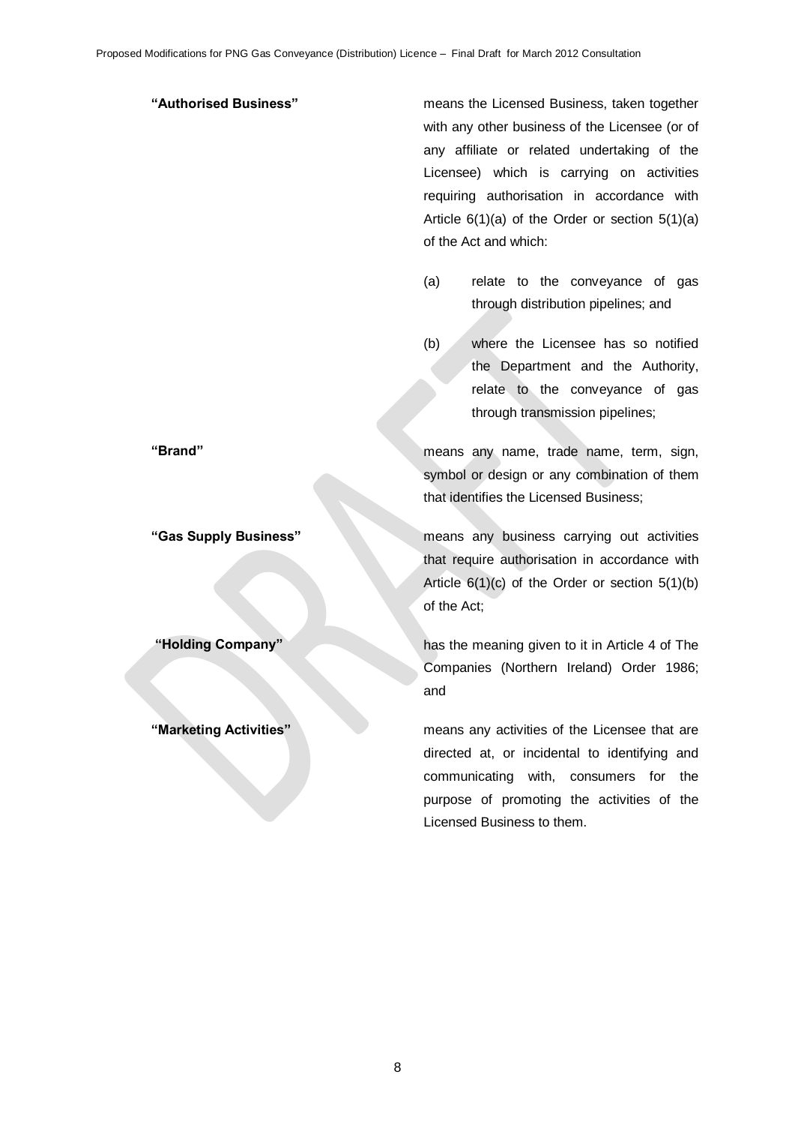**"Authorised Business"** means the Licensed Business, taken together with any other business of the Licensee (or of any affiliate or related undertaking of the Licensee) which is carrying on activities requiring authorisation in accordance with Article 6(1)(a) of the Order or section 5(1)(a) of the Act and which:

- (a) relate to the conveyance of gas through distribution pipelines; and
- (b) where the Licensee has so notified the Department and the Authority, relate to the conveyance of gas through transmission pipelines;

**"Brand"** means any name, trade name, term, sign, symbol or design or any combination of them that identifies the Licensed Business;

**"Gas Supply Business"** means any business carrying out activities that require authorisation in accordance with Article 6(1)(c) of the Order or section 5(1)(b) of the Act;

**"Holding Company"** has the meaning given to it in Article 4 of The Companies (Northern Ireland) Order 1986; and

**"Marketing Activities"** means any activities of the Licensee that are directed at, or incidental to identifying and communicating with, consumers for the purpose of promoting the activities of the Licensed Business to them.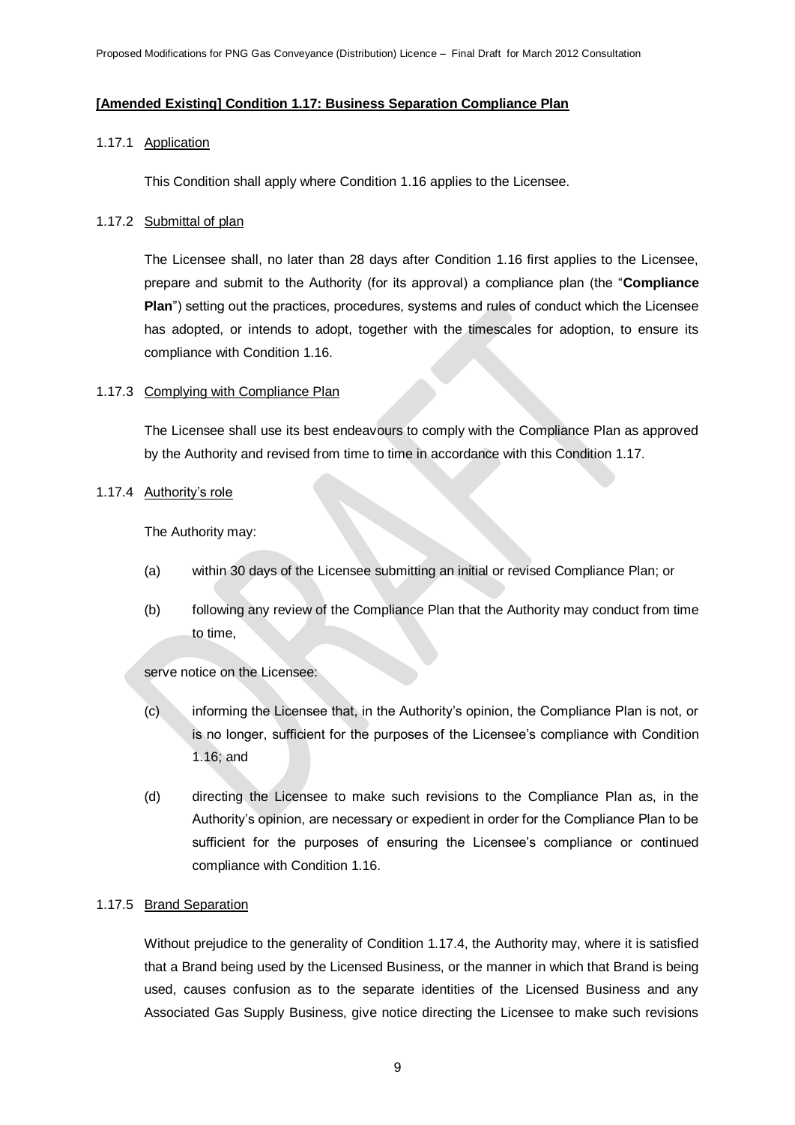## **[Amended Existing] Condition 1.17: Business Separation Compliance Plan**

#### 1.17.1 Application

This Condition shall apply where Condition 1.16 applies to the Licensee.

#### 1.17.2 Submittal of plan

The Licensee shall, no later than 28 days after Condition 1.16 first applies to the Licensee, prepare and submit to the Authority (for its approval) a compliance plan (the "**Compliance Plan**") setting out the practices, procedures, systems and rules of conduct which the Licensee has adopted, or intends to adopt, together with the timescales for adoption, to ensure its compliance with Condition 1.16.

## 1.17.3 Complying with Compliance Plan

The Licensee shall use its best endeavours to comply with the Compliance Plan as approved by the Authority and revised from time to time in accordance with this Condition 1.17.

#### 1.17.4 Authority's role

The Authority may:

- (a) within 30 days of the Licensee submitting an initial or revised Compliance Plan; or
- (b) following any review of the Compliance Plan that the Authority may conduct from time to time,

serve notice on the Licensee:

- (c) informing the Licensee that, in the Authority's opinion, the Compliance Plan is not, or is no longer, sufficient for the purposes of the Licensee's compliance with Condition 1.16; and
- (d) directing the Licensee to make such revisions to the Compliance Plan as, in the Authority's opinion, are necessary or expedient in order for the Compliance Plan to be sufficient for the purposes of ensuring the Licensee's compliance or continued compliance with Condition 1.16.

# 1.17.5 Brand Separation

Without prejudice to the generality of Condition 1.17.4, the Authority may, where it is satisfied that a Brand being used by the Licensed Business, or the manner in which that Brand is being used, causes confusion as to the separate identities of the Licensed Business and any Associated Gas Supply Business, give notice directing the Licensee to make such revisions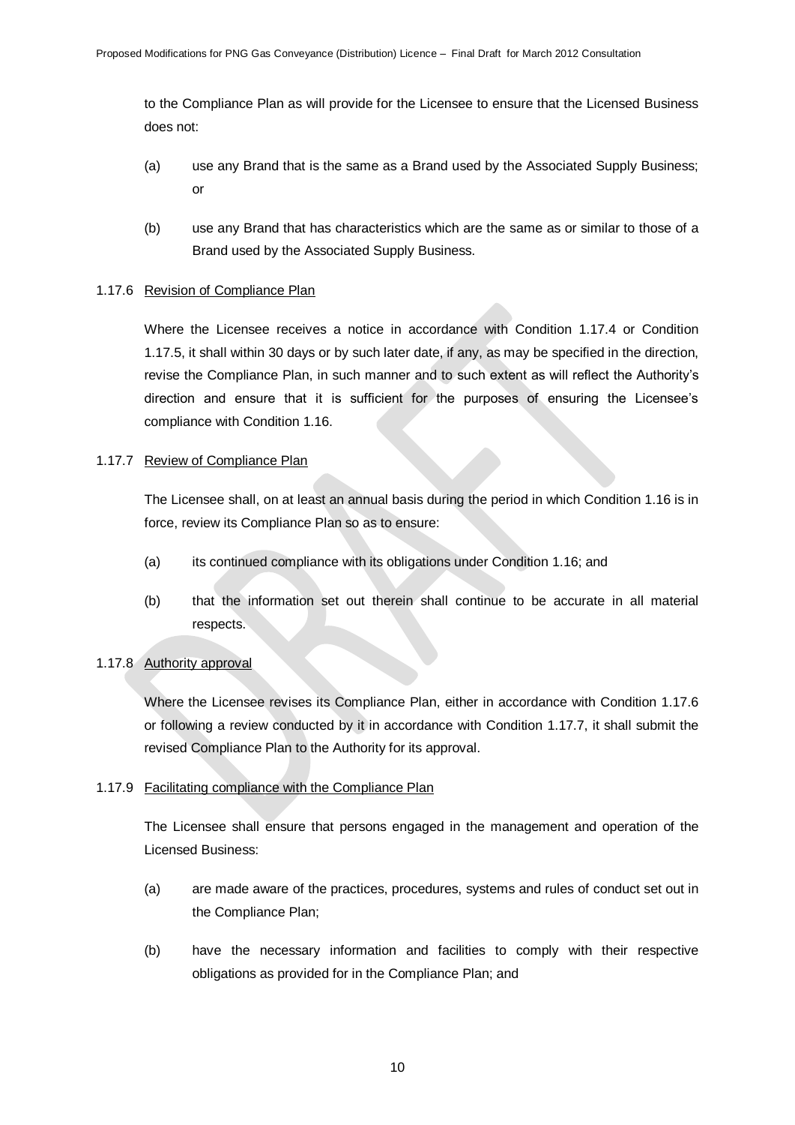to the Compliance Plan as will provide for the Licensee to ensure that the Licensed Business does not:

- (a) use any Brand that is the same as a Brand used by the Associated Supply Business; or
- (b) use any Brand that has characteristics which are the same as or similar to those of a Brand used by the Associated Supply Business.

## 1.17.6 Revision of Compliance Plan

Where the Licensee receives a notice in accordance with Condition 1.17.4 or Condition 1.17.5, it shall within 30 days or by such later date, if any, as may be specified in the direction, revise the Compliance Plan, in such manner and to such extent as will reflect the Authority's direction and ensure that it is sufficient for the purposes of ensuring the Licensee's compliance with Condition 1.16.

## 1.17.7 Review of Compliance Plan

The Licensee shall, on at least an annual basis during the period in which Condition 1.16 is in force, review its Compliance Plan so as to ensure:

- (a) its continued compliance with its obligations under Condition 1.16; and
- (b) that the information set out therein shall continue to be accurate in all material respects.

# 1.17.8 Authority approval

Where the Licensee revises its Compliance Plan, either in accordance with Condition 1.17.6 or following a review conducted by it in accordance with Condition 1.17.7, it shall submit the revised Compliance Plan to the Authority for its approval.

# 1.17.9 Facilitating compliance with the Compliance Plan

The Licensee shall ensure that persons engaged in the management and operation of the Licensed Business:

- (a) are made aware of the practices, procedures, systems and rules of conduct set out in the Compliance Plan;
- (b) have the necessary information and facilities to comply with their respective obligations as provided for in the Compliance Plan; and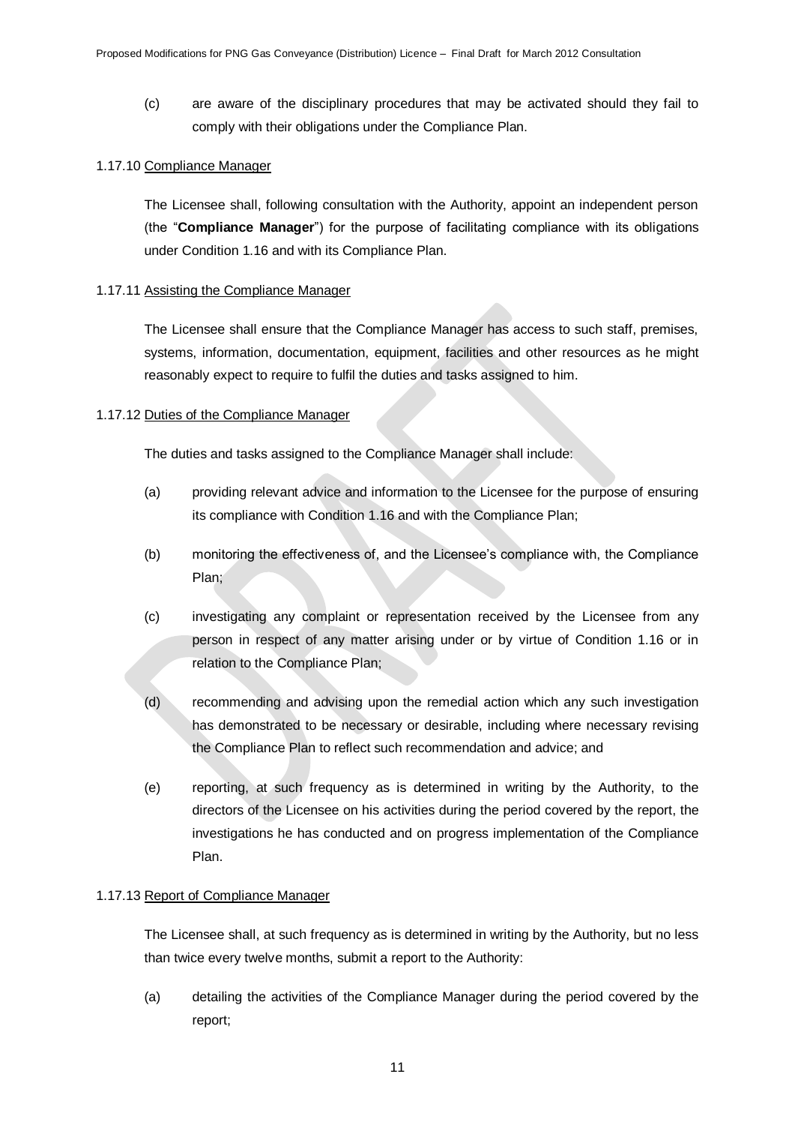(c) are aware of the disciplinary procedures that may be activated should they fail to comply with their obligations under the Compliance Plan.

#### 1.17.10 Compliance Manager

The Licensee shall, following consultation with the Authority, appoint an independent person (the "**Compliance Manager**") for the purpose of facilitating compliance with its obligations under Condition 1.16 and with its Compliance Plan.

#### 1.17.11 Assisting the Compliance Manager

The Licensee shall ensure that the Compliance Manager has access to such staff, premises, systems, information, documentation, equipment, facilities and other resources as he might reasonably expect to require to fulfil the duties and tasks assigned to him.

#### 1.17.12 Duties of the Compliance Manager

The duties and tasks assigned to the Compliance Manager shall include:

- (a) providing relevant advice and information to the Licensee for the purpose of ensuring its compliance with Condition 1.16 and with the Compliance Plan;
- (b) monitoring the effectiveness of, and the Licensee's compliance with, the Compliance Plan;
- (c) investigating any complaint or representation received by the Licensee from any person in respect of any matter arising under or by virtue of Condition 1.16 or in relation to the Compliance Plan;
- (d) recommending and advising upon the remedial action which any such investigation has demonstrated to be necessary or desirable, including where necessary revising the Compliance Plan to reflect such recommendation and advice; and
- (e) reporting, at such frequency as is determined in writing by the Authority, to the directors of the Licensee on his activities during the period covered by the report, the investigations he has conducted and on progress implementation of the Compliance Plan.

#### 1.17.13 Report of Compliance Manager

The Licensee shall, at such frequency as is determined in writing by the Authority, but no less than twice every twelve months, submit a report to the Authority:

(a) detailing the activities of the Compliance Manager during the period covered by the report;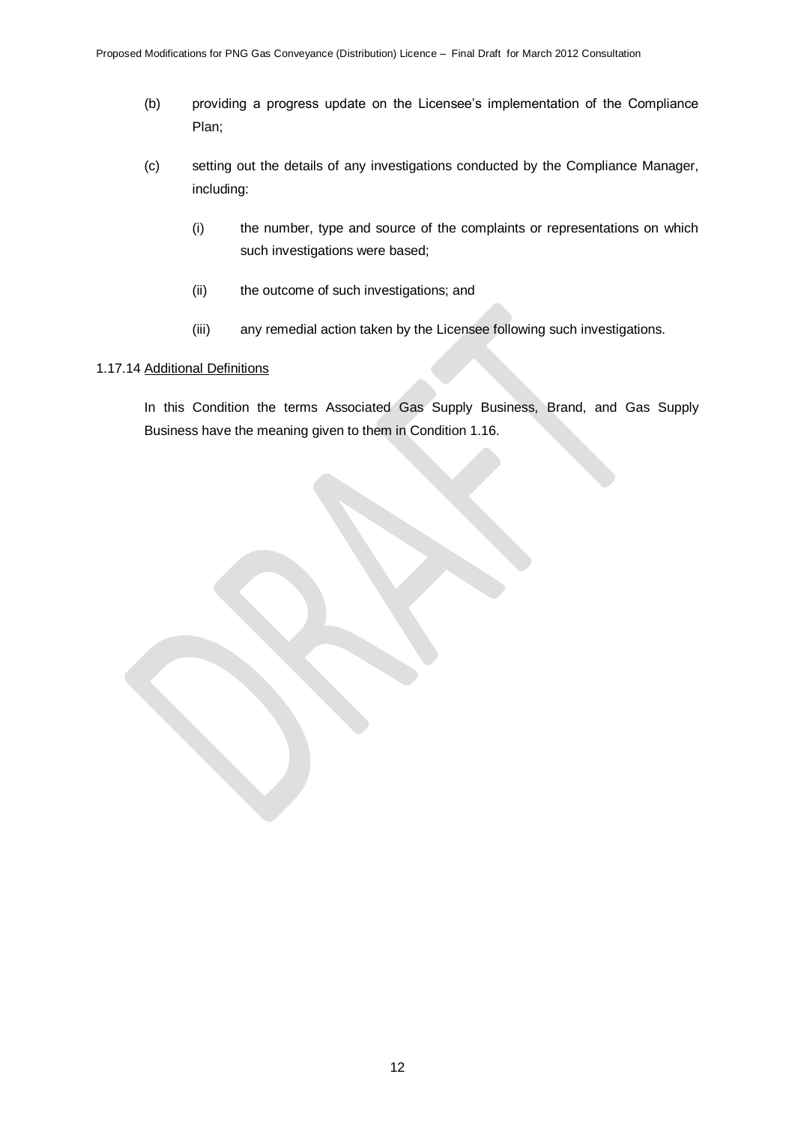- (b) providing a progress update on the Licensee's implementation of the Compliance Plan;
- (c) setting out the details of any investigations conducted by the Compliance Manager, including:
	- (i) the number, type and source of the complaints or representations on which such investigations were based;
	- (ii) the outcome of such investigations; and
	- (iii) any remedial action taken by the Licensee following such investigations.

## 1.17.14 Additional Definitions

In this Condition the terms Associated Gas Supply Business, Brand, and Gas Supply Business have the meaning given to them in Condition 1.16.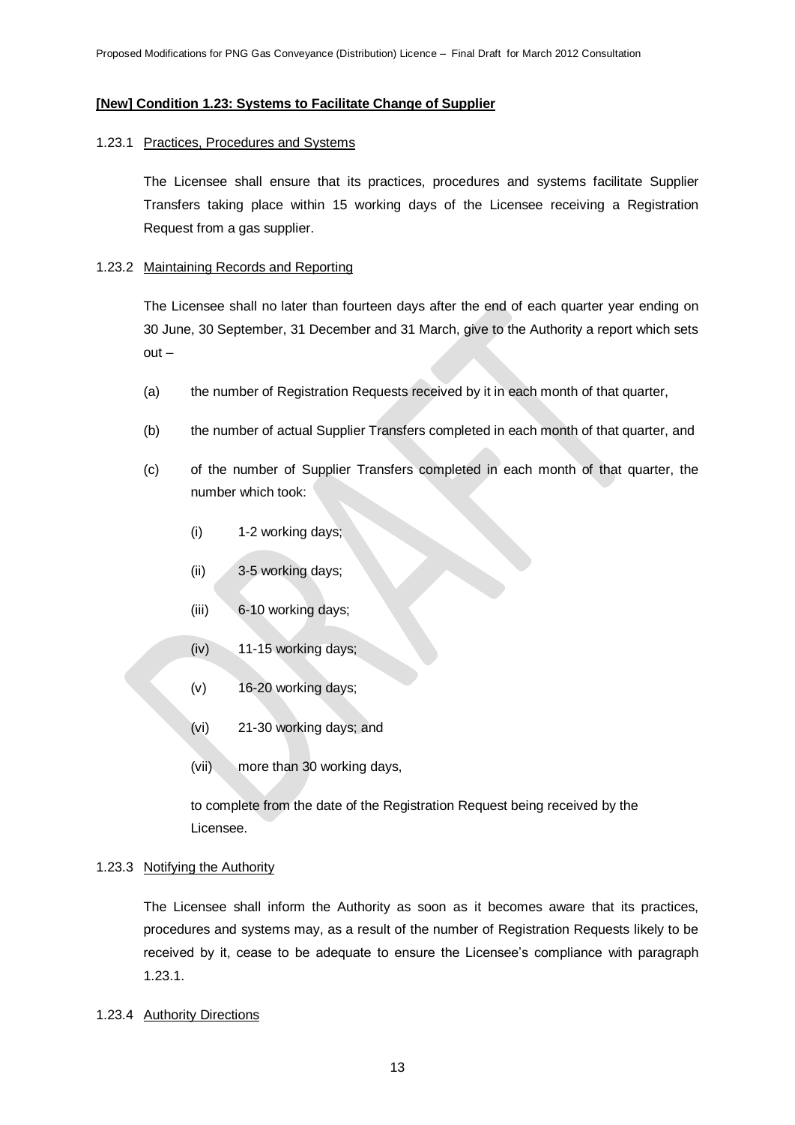#### **[New] Condition 1.23: Systems to Facilitate Change of Supplier**

#### 1.23.1 Practices, Procedures and Systems

The Licensee shall ensure that its practices, procedures and systems facilitate Supplier Transfers taking place within 15 working days of the Licensee receiving a Registration Request from a gas supplier.

#### 1.23.2 Maintaining Records and Reporting

The Licensee shall no later than fourteen days after the end of each quarter year ending on 30 June, 30 September, 31 December and 31 March, give to the Authority a report which sets out –

- (a) the number of Registration Requests received by it in each month of that quarter,
- (b) the number of actual Supplier Transfers completed in each month of that quarter, and
- (c) of the number of Supplier Transfers completed in each month of that quarter, the number which took:
	- (i) 1-2 working days;
	- (ii) 3-5 working days;
	- (iii) 6-10 working days;
	- (iv) 11-15 working days;
	- (v) 16-20 working days;
	- (vi) 21-30 working days; and
	- (vii) more than 30 working days,

to complete from the date of the Registration Request being received by the Licensee.

#### 1.23.3 Notifying the Authority

The Licensee shall inform the Authority as soon as it becomes aware that its practices, procedures and systems may, as a result of the number of Registration Requests likely to be received by it, cease to be adequate to ensure the Licensee's compliance with paragraph 1.23.1.

1.23.4 Authority Directions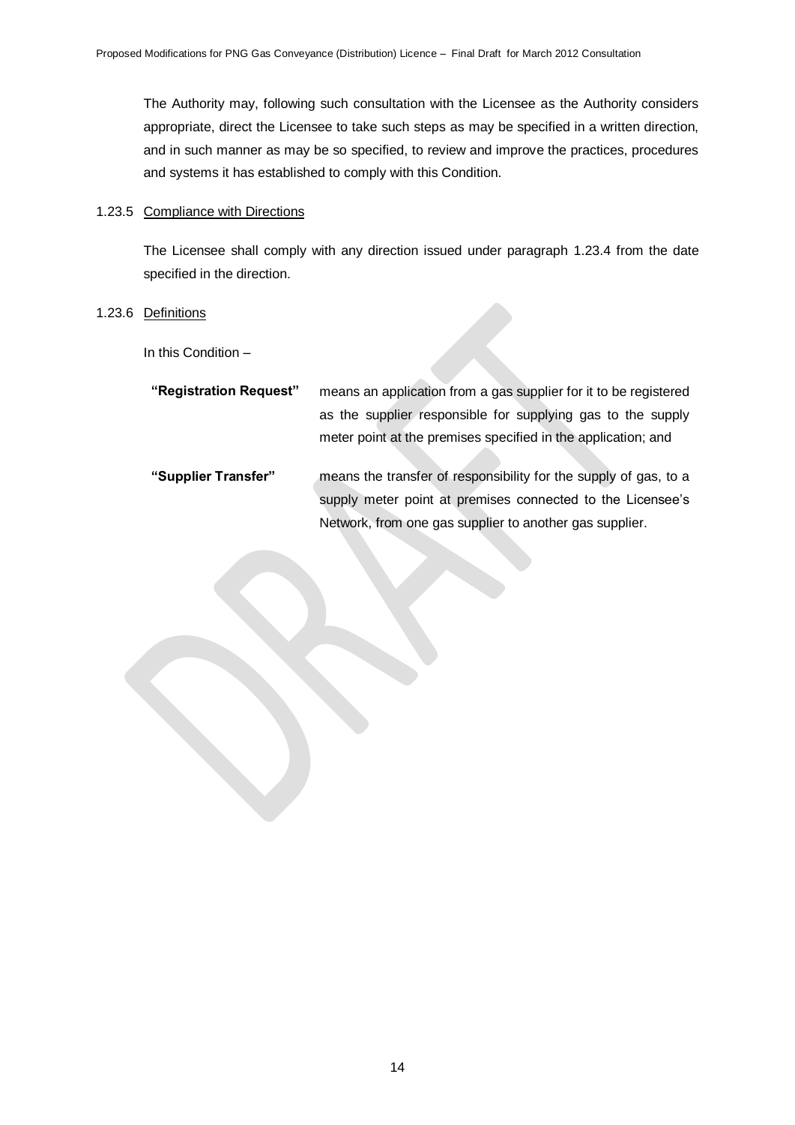The Authority may, following such consultation with the Licensee as the Authority considers appropriate, direct the Licensee to take such steps as may be specified in a written direction, and in such manner as may be so specified, to review and improve the practices, procedures and systems it has established to comply with this Condition.

#### 1.23.5 Compliance with Directions

The Licensee shall comply with any direction issued under paragraph 1.23.4 from the date specified in the direction.

#### 1.23.6 Definitions

In this Condition –

| "Registration Request" | means an application from a gas supplier for it to be registered |  |
|------------------------|------------------------------------------------------------------|--|
|                        | as the supplier responsible for supplying gas to the supply      |  |
|                        | meter point at the premises specified in the application; and    |  |
| "Supplier Transfer"    | means the transfer of responsibility for the supply of gas, to a |  |
|                        | supply meter point at premises connected to the Licensee's       |  |

Network, from one gas supplier to another gas supplier.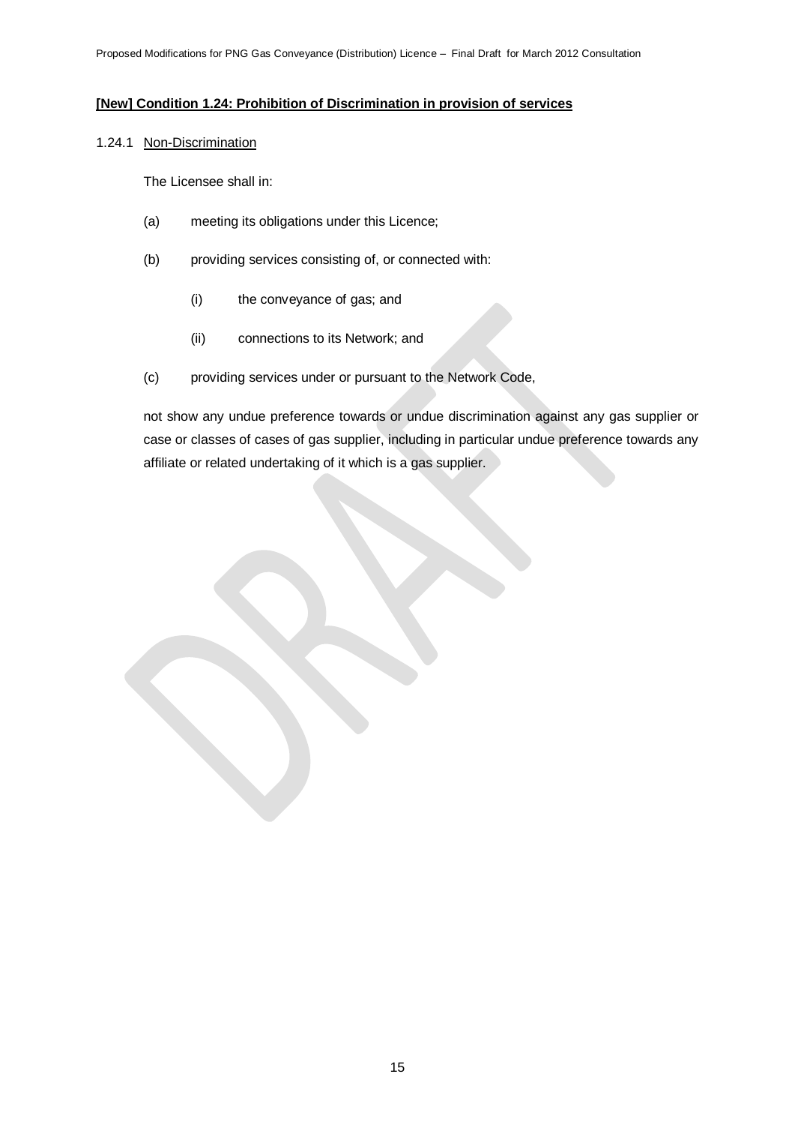# **[New] Condition 1.24: Prohibition of Discrimination in provision of services**

#### 1.24.1 Non-Discrimination

The Licensee shall in:

- (a) meeting its obligations under this Licence;
- (b) providing services consisting of, or connected with:
	- (i) the conveyance of gas; and
	- (ii) connections to its Network; and
- (c) providing services under or pursuant to the Network Code,

not show any undue preference towards or undue discrimination against any gas supplier or case or classes of cases of gas supplier, including in particular undue preference towards any affiliate or related undertaking of it which is a gas supplier.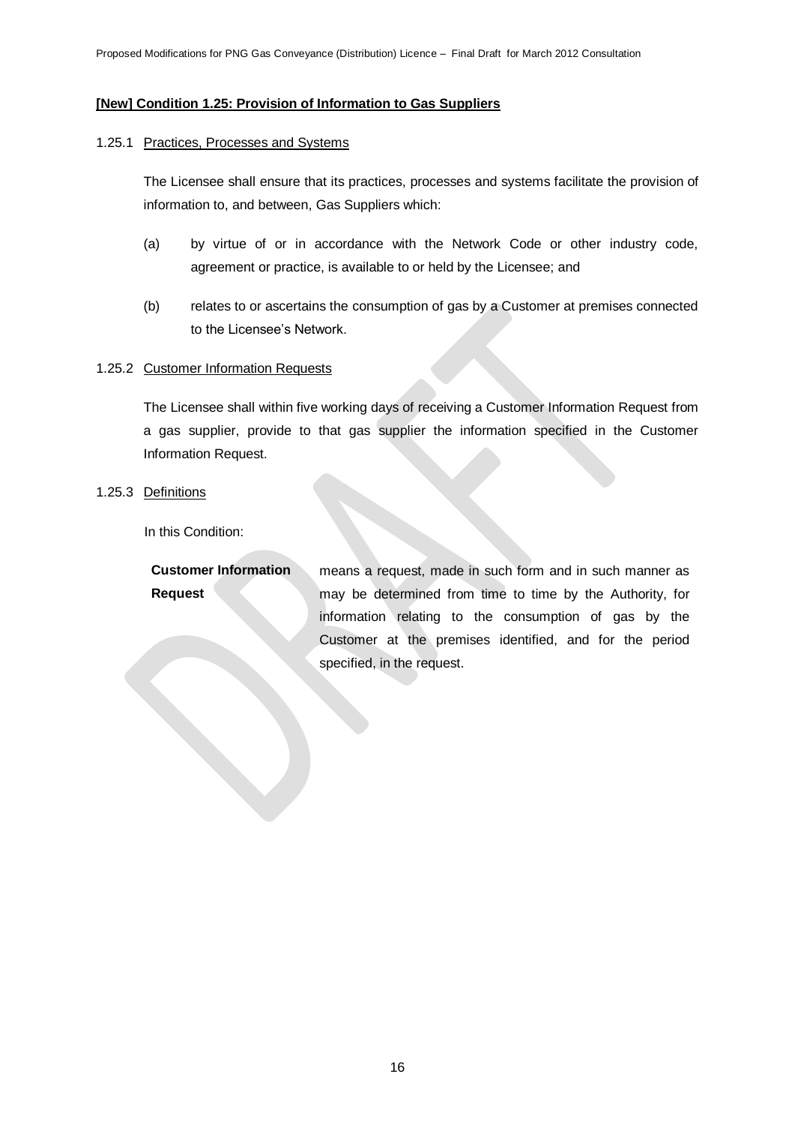#### **[New] Condition 1.25: Provision of Information to Gas Suppliers**

#### 1.25.1 Practices, Processes and Systems

The Licensee shall ensure that its practices, processes and systems facilitate the provision of information to, and between, Gas Suppliers which:

- (a) by virtue of or in accordance with the Network Code or other industry code, agreement or practice, is available to or held by the Licensee; and
- (b) relates to or ascertains the consumption of gas by a Customer at premises connected to the Licensee's Network.

#### 1.25.2 Customer Information Requests

The Licensee shall within five working days of receiving a Customer Information Request from a gas supplier, provide to that gas supplier the information specified in the Customer Information Request.

1.25.3 Definitions

In this Condition:

| <b>Customer Information</b> | means a request, made in such form and in such manner as  |
|-----------------------------|-----------------------------------------------------------|
| <b>Request</b>              | may be determined from time to time by the Authority, for |
|                             | information relating to the consumption of gas by the     |
|                             | Customer at the premises identified, and for the period   |
|                             | specified, in the request.                                |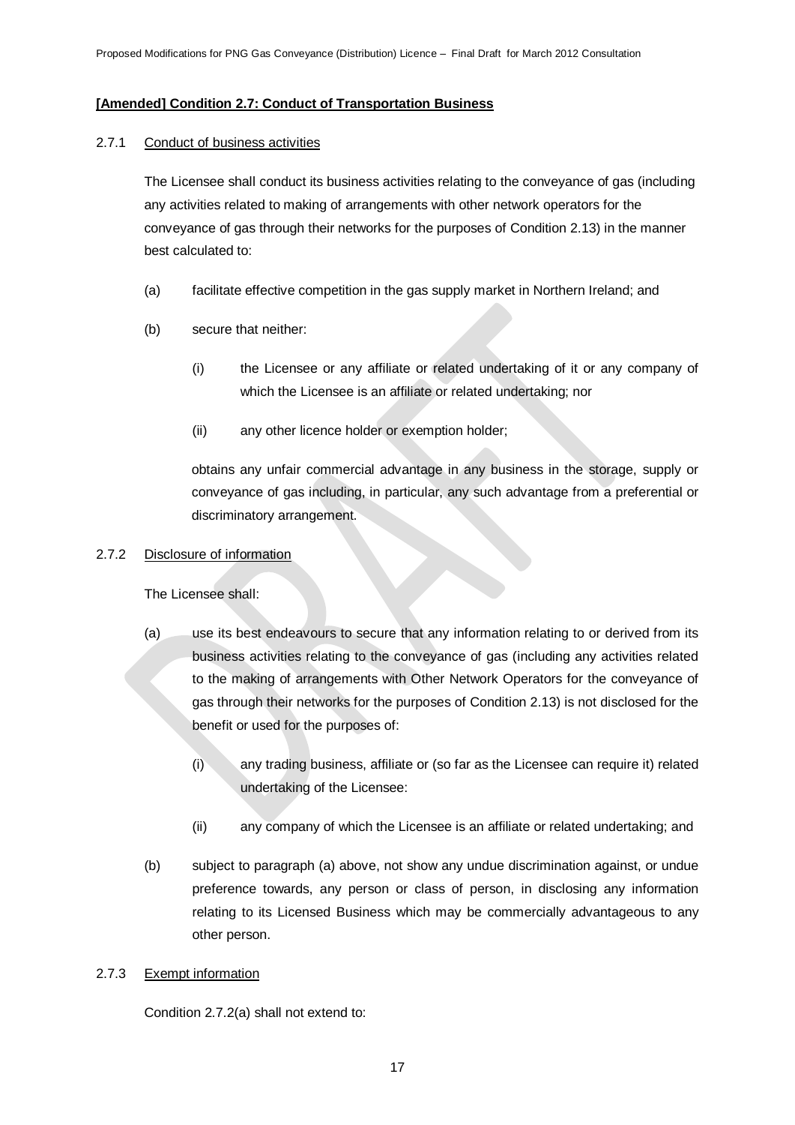# **[Amended] Condition 2.7: Conduct of Transportation Business**

# 2.7.1 Conduct of business activities

The Licensee shall conduct its business activities relating to the conveyance of gas (including any activities related to making of arrangements with other network operators for the conveyance of gas through their networks for the purposes of Condition 2.13) in the manner best calculated to:

- (a) facilitate effective competition in the gas supply market in Northern Ireland; and
- (b) secure that neither:
	- (i) the Licensee or any affiliate or related undertaking of it or any company of which the Licensee is an affiliate or related undertaking; nor
	- (ii) any other licence holder or exemption holder;

obtains any unfair commercial advantage in any business in the storage, supply or conveyance of gas including, in particular, any such advantage from a preferential or discriminatory arrangement.

# 2.7.2 Disclosure of information

The Licensee shall:

- (a) use its best endeavours to secure that any information relating to or derived from its business activities relating to the conveyance of gas (including any activities related to the making of arrangements with Other Network Operators for the conveyance of gas through their networks for the purposes of Condition 2.13) is not disclosed for the benefit or used for the purposes of:
	- (i) any trading business, affiliate or (so far as the Licensee can require it) related undertaking of the Licensee:
	- (ii) any company of which the Licensee is an affiliate or related undertaking; and
- (b) subject to paragraph (a) above, not show any undue discrimination against, or undue preference towards, any person or class of person, in disclosing any information relating to its Licensed Business which may be commercially advantageous to any other person.

# 2.7.3 Exempt information

Condition 2.7.2(a) shall not extend to: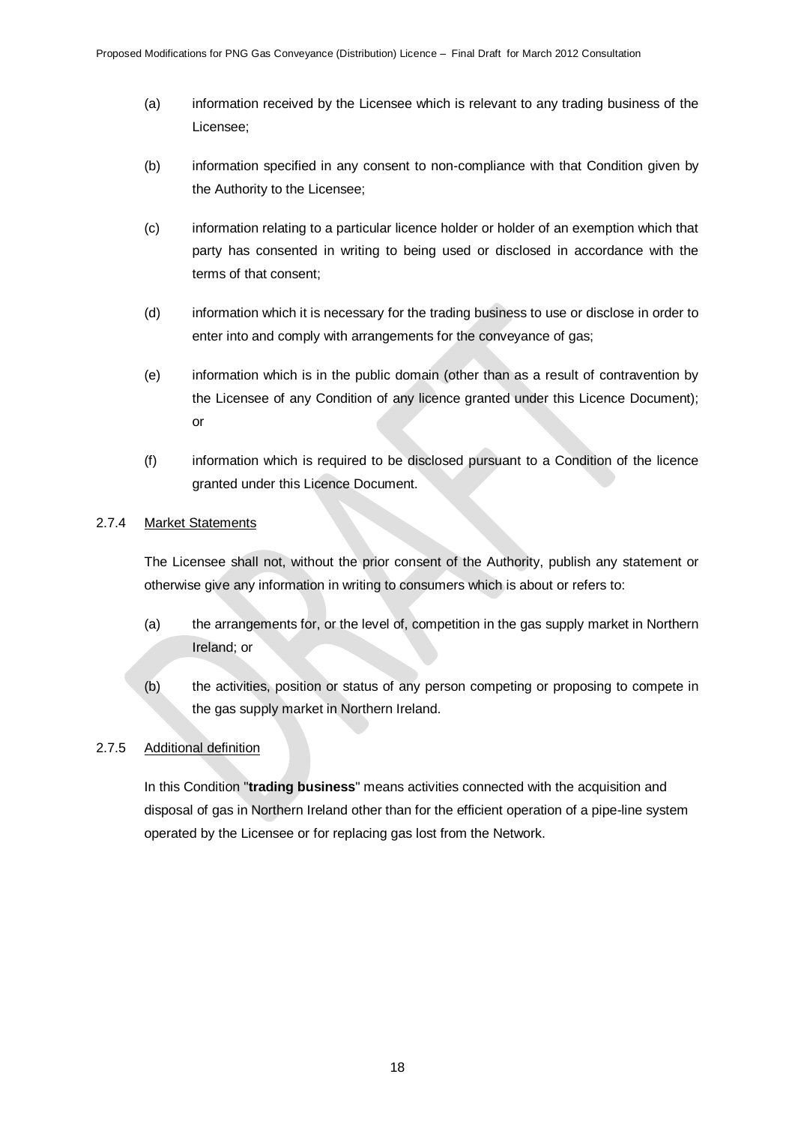- (a) information received by the Licensee which is relevant to any trading business of the Licensee;
- (b) information specified in any consent to non-compliance with that Condition given by the Authority to the Licensee;
- (c) information relating to a particular licence holder or holder of an exemption which that party has consented in writing to being used or disclosed in accordance with the terms of that consent;
- (d) information which it is necessary for the trading business to use or disclose in order to enter into and comply with arrangements for the conveyance of gas;
- (e) information which is in the public domain (other than as a result of contravention by the Licensee of any Condition of any licence granted under this Licence Document); or
- (f) information which is required to be disclosed pursuant to a Condition of the licence granted under this Licence Document.

# 2.7.4 Market Statements

The Licensee shall not, without the prior consent of the Authority, publish any statement or otherwise give any information in writing to consumers which is about or refers to:

- (a) the arrangements for, or the level of, competition in the gas supply market in Northern Ireland; or
- (b) the activities, position or status of any person competing or proposing to compete in the gas supply market in Northern Ireland.

# 2.7.5 Additional definition

In this Condition "**trading business**" means activities connected with the acquisition and disposal of gas in Northern Ireland other than for the efficient operation of a pipe-line system operated by the Licensee or for replacing gas lost from the Network.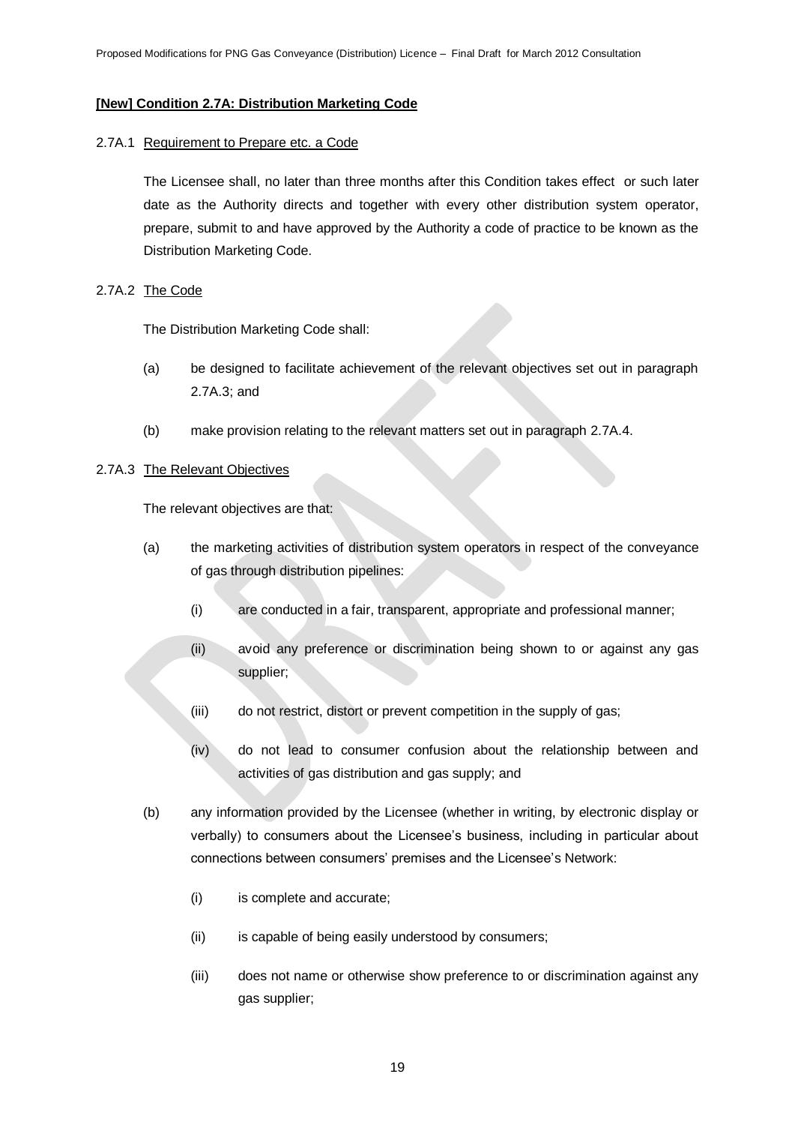### **[New] Condition 2.7A: Distribution Marketing Code**

#### 2.7A.1 Requirement to Prepare etc. a Code

The Licensee shall, no later than three months after this Condition takes effect or such later date as the Authority directs and together with every other distribution system operator, prepare, submit to and have approved by the Authority a code of practice to be known as the Distribution Marketing Code.

# 2.7A.2 The Code

The Distribution Marketing Code shall:

- (a) be designed to facilitate achievement of the relevant objectives set out in paragraph 2.7A.3; and
- (b) make provision relating to the relevant matters set out in paragraph 2.7A.4.

#### 2.7A.3 The Relevant Objectives

The relevant objectives are that:

- (a) the marketing activities of distribution system operators in respect of the conveyance of gas through distribution pipelines:
	- (i) are conducted in a fair, transparent, appropriate and professional manner;
	- (ii) avoid any preference or discrimination being shown to or against any gas supplier;
	- (iii) do not restrict, distort or prevent competition in the supply of gas;
	- (iv) do not lead to consumer confusion about the relationship between and activities of gas distribution and gas supply; and
- (b) any information provided by the Licensee (whether in writing, by electronic display or verbally) to consumers about the Licensee's business, including in particular about connections between consumers' premises and the Licensee's Network:
	- (i) is complete and accurate;
	- (ii) is capable of being easily understood by consumers;
	- (iii) does not name or otherwise show preference to or discrimination against any gas supplier;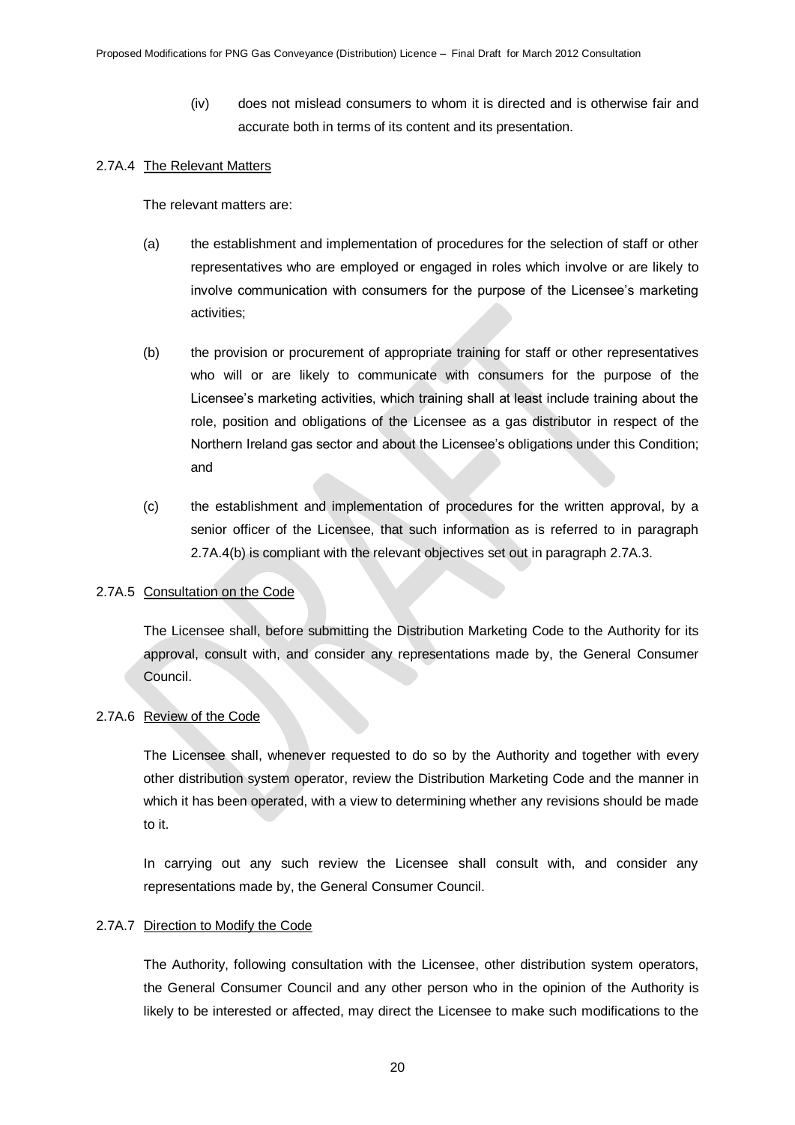(iv) does not mislead consumers to whom it is directed and is otherwise fair and accurate both in terms of its content and its presentation.

#### 2.7A.4 The Relevant Matters

The relevant matters are:

- (a) the establishment and implementation of procedures for the selection of staff or other representatives who are employed or engaged in roles which involve or are likely to involve communication with consumers for the purpose of the Licensee's marketing activities;
- (b) the provision or procurement of appropriate training for staff or other representatives who will or are likely to communicate with consumers for the purpose of the Licensee's marketing activities, which training shall at least include training about the role, position and obligations of the Licensee as a gas distributor in respect of the Northern Ireland gas sector and about the Licensee's obligations under this Condition; and
- (c) the establishment and implementation of procedures for the written approval, by a senior officer of the Licensee, that such information as is referred to in paragraph 2.7A.4(b) is compliant with the relevant objectives set out in paragraph 2.7A.3.

#### 2.7A.5 Consultation on the Code

The Licensee shall, before submitting the Distribution Marketing Code to the Authority for its approval, consult with, and consider any representations made by, the General Consumer Council.

### 2.7A.6 Review of the Code

The Licensee shall, whenever requested to do so by the Authority and together with every other distribution system operator, review the Distribution Marketing Code and the manner in which it has been operated, with a view to determining whether any revisions should be made to it.

In carrying out any such review the Licensee shall consult with, and consider any representations made by, the General Consumer Council.

#### 2.7A.7 Direction to Modify the Code

The Authority, following consultation with the Licensee, other distribution system operators, the General Consumer Council and any other person who in the opinion of the Authority is likely to be interested or affected, may direct the Licensee to make such modifications to the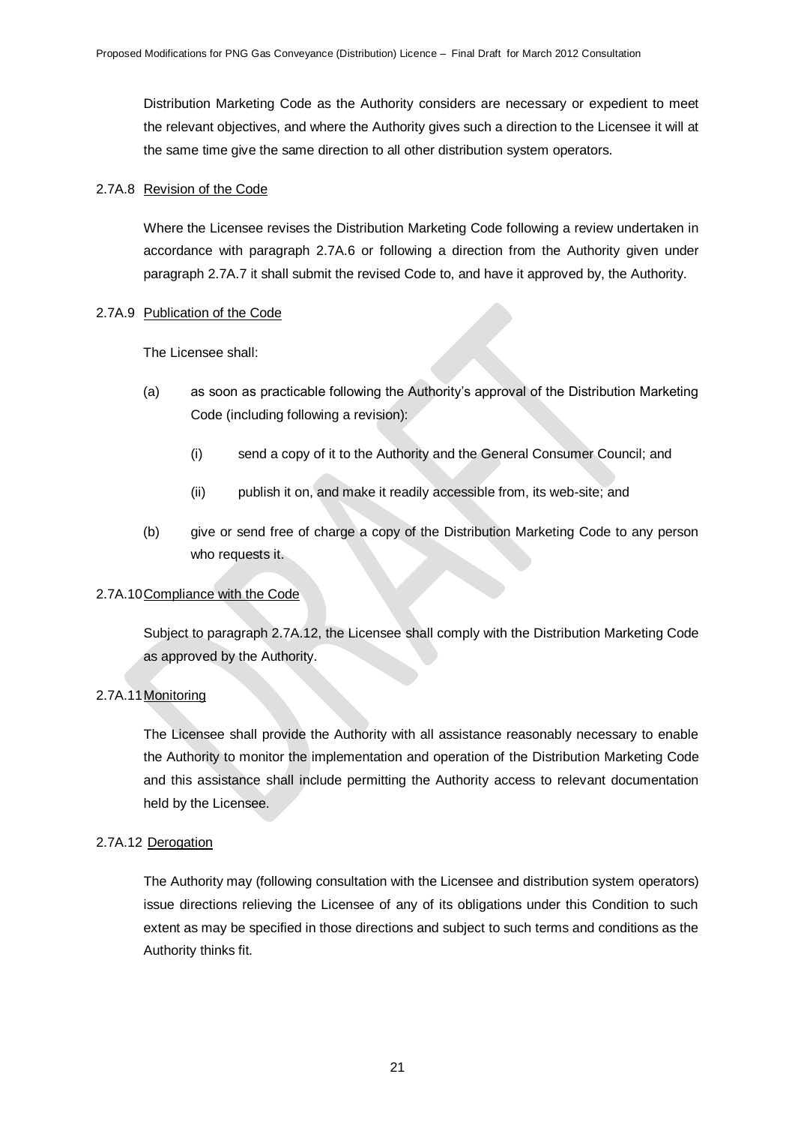Distribution Marketing Code as the Authority considers are necessary or expedient to meet the relevant objectives, and where the Authority gives such a direction to the Licensee it will at the same time give the same direction to all other distribution system operators.

# 2.7A.8 Revision of the Code

Where the Licensee revises the Distribution Marketing Code following a review undertaken in accordance with paragraph 2.7A.6 or following a direction from the Authority given under paragraph 2.7A.7 it shall submit the revised Code to, and have it approved by, the Authority.

# 2.7A.9 Publication of the Code

The Licensee shall:

- (a) as soon as practicable following the Authority's approval of the Distribution Marketing Code (including following a revision):
	- (i) send a copy of it to the Authority and the General Consumer Council; and
	- (ii) publish it on, and make it readily accessible from, its web-site; and
- (b) give or send free of charge a copy of the Distribution Marketing Code to any person who requests it.

# 2.7A.10Compliance with the Code

Subject to paragraph 2.7A.12, the Licensee shall comply with the Distribution Marketing Code as approved by the Authority.

# 2.7A.11Monitoring

The Licensee shall provide the Authority with all assistance reasonably necessary to enable the Authority to monitor the implementation and operation of the Distribution Marketing Code and this assistance shall include permitting the Authority access to relevant documentation held by the Licensee.

# 2.7A.12 Derogation

The Authority may (following consultation with the Licensee and distribution system operators) issue directions relieving the Licensee of any of its obligations under this Condition to such extent as may be specified in those directions and subject to such terms and conditions as the Authority thinks fit.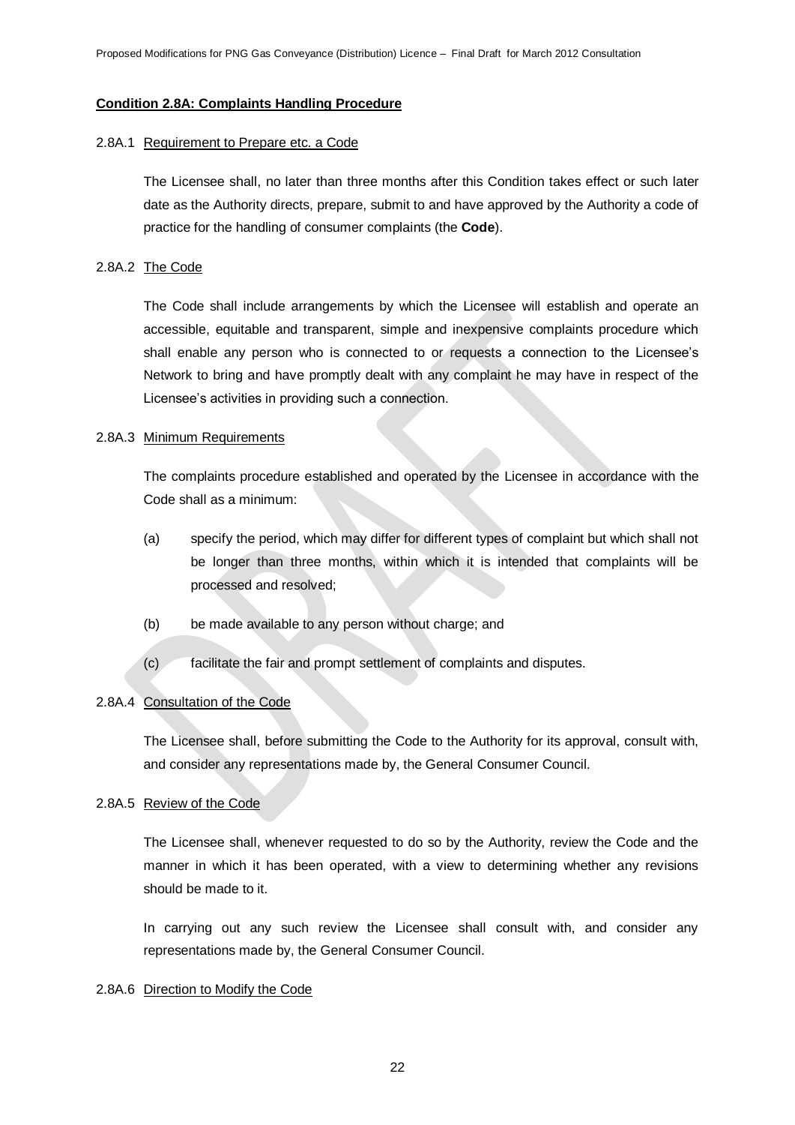#### **Condition 2.8A: Complaints Handling Procedure**

#### 2.8A.1 Requirement to Prepare etc. a Code

The Licensee shall, no later than three months after this Condition takes effect or such later date as the Authority directs, prepare, submit to and have approved by the Authority a code of practice for the handling of consumer complaints (the **Code**).

#### 2.8A.2 The Code

The Code shall include arrangements by which the Licensee will establish and operate an accessible, equitable and transparent, simple and inexpensive complaints procedure which shall enable any person who is connected to or requests a connection to the Licensee's Network to bring and have promptly dealt with any complaint he may have in respect of the Licensee's activities in providing such a connection.

#### 2.8A.3 Minimum Requirements

The complaints procedure established and operated by the Licensee in accordance with the Code shall as a minimum:

- (a) specify the period, which may differ for different types of complaint but which shall not be longer than three months, within which it is intended that complaints will be processed and resolved;
- (b) be made available to any person without charge; and
- (c) facilitate the fair and prompt settlement of complaints and disputes.

# 2.8A.4 Consultation of the Code

The Licensee shall, before submitting the Code to the Authority for its approval, consult with, and consider any representations made by, the General Consumer Council.

#### 2.8A.5 Review of the Code

The Licensee shall, whenever requested to do so by the Authority, review the Code and the manner in which it has been operated, with a view to determining whether any revisions should be made to it.

In carrying out any such review the Licensee shall consult with, and consider any representations made by, the General Consumer Council.

#### 2.8A.6 Direction to Modify the Code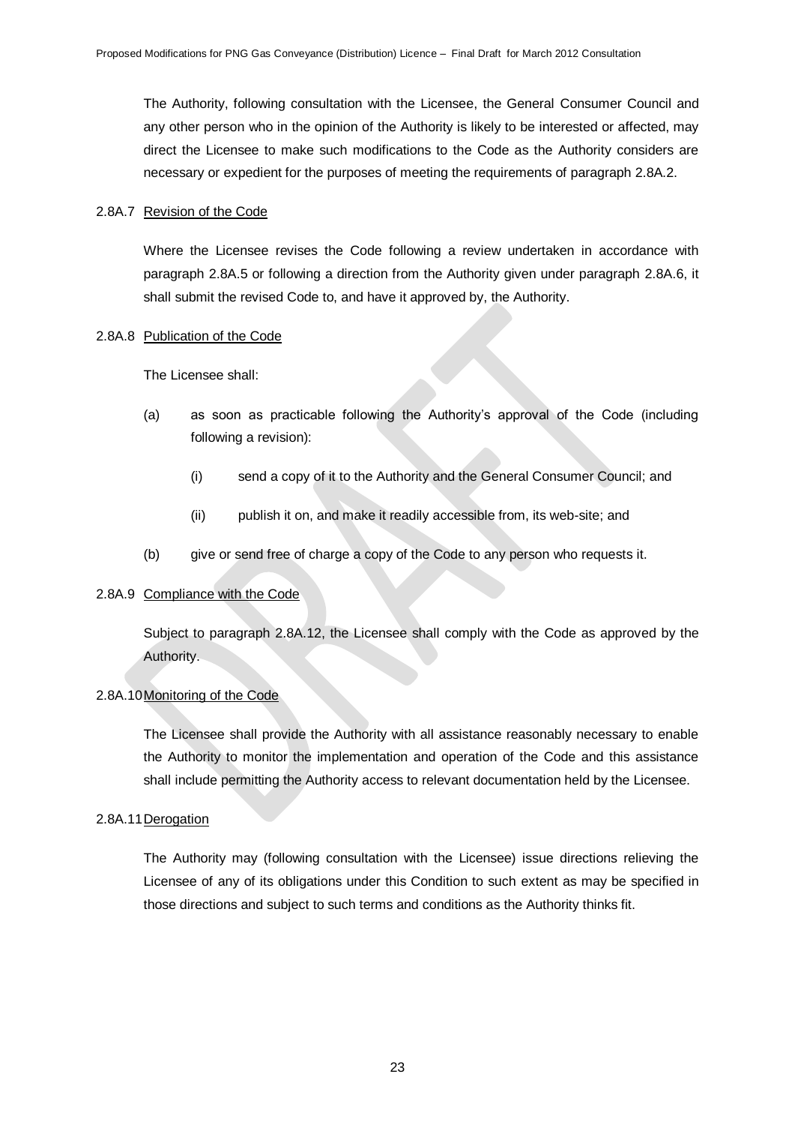The Authority, following consultation with the Licensee, the General Consumer Council and any other person who in the opinion of the Authority is likely to be interested or affected, may direct the Licensee to make such modifications to the Code as the Authority considers are necessary or expedient for the purposes of meeting the requirements of paragraph 2.8A.2.

#### 2.8A.7 Revision of the Code

Where the Licensee revises the Code following a review undertaken in accordance with paragraph 2.8A.5 or following a direction from the Authority given under paragraph 2.8A.6, it shall submit the revised Code to, and have it approved by, the Authority.

#### 2.8A.8 Publication of the Code

The Licensee shall:

- (a) as soon as practicable following the Authority's approval of the Code (including following a revision):
	- (i) send a copy of it to the Authority and the General Consumer Council; and
	- (ii) publish it on, and make it readily accessible from, its web-site; and
- (b) give or send free of charge a copy of the Code to any person who requests it.

# 2.8A.9 Compliance with the Code

Subject to paragraph 2.8A.12, the Licensee shall comply with the Code as approved by the Authority.

# 2.8A.10Monitoring of the Code

The Licensee shall provide the Authority with all assistance reasonably necessary to enable the Authority to monitor the implementation and operation of the Code and this assistance shall include permitting the Authority access to relevant documentation held by the Licensee.

#### 2.8A.11Derogation

The Authority may (following consultation with the Licensee) issue directions relieving the Licensee of any of its obligations under this Condition to such extent as may be specified in those directions and subject to such terms and conditions as the Authority thinks fit.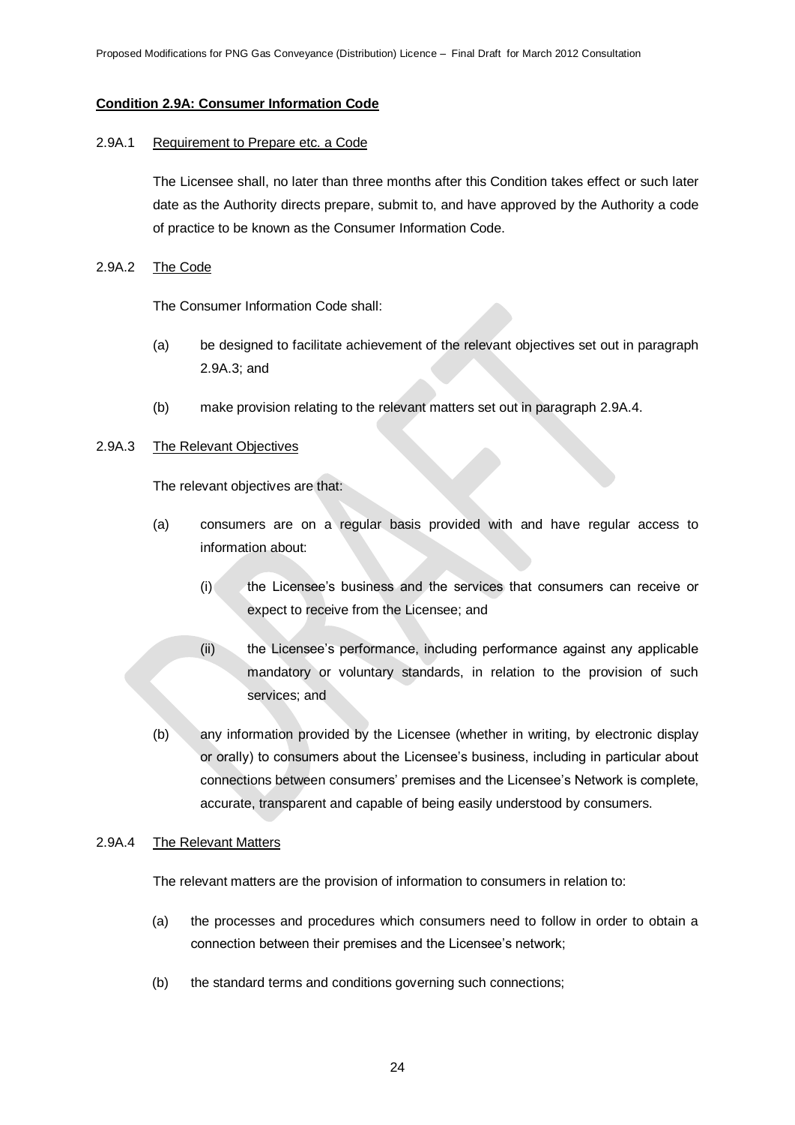# **Condition 2.9A: Consumer Information Code**

#### 2.9A.1 Requirement to Prepare etc. a Code

The Licensee shall, no later than three months after this Condition takes effect or such later date as the Authority directs prepare, submit to, and have approved by the Authority a code of practice to be known as the Consumer Information Code.

#### 2.9A.2 The Code

The Consumer Information Code shall:

- (a) be designed to facilitate achievement of the relevant objectives set out in paragraph 2.9A.3; and
- (b) make provision relating to the relevant matters set out in paragraph 2.9A.4.

# 2.9A.3 The Relevant Objectives

The relevant objectives are that:

- (a) consumers are on a regular basis provided with and have regular access to information about:
	- (i) the Licensee's business and the services that consumers can receive or expect to receive from the Licensee; and
	- (ii) the Licensee's performance, including performance against any applicable mandatory or voluntary standards, in relation to the provision of such services; and
- (b) any information provided by the Licensee (whether in writing, by electronic display or orally) to consumers about the Licensee's business, including in particular about connections between consumers' premises and the Licensee's Network is complete, accurate, transparent and capable of being easily understood by consumers.

#### 2.9A.4 The Relevant Matters

The relevant matters are the provision of information to consumers in relation to:

- (a) the processes and procedures which consumers need to follow in order to obtain a connection between their premises and the Licensee's network;
- (b) the standard terms and conditions governing such connections;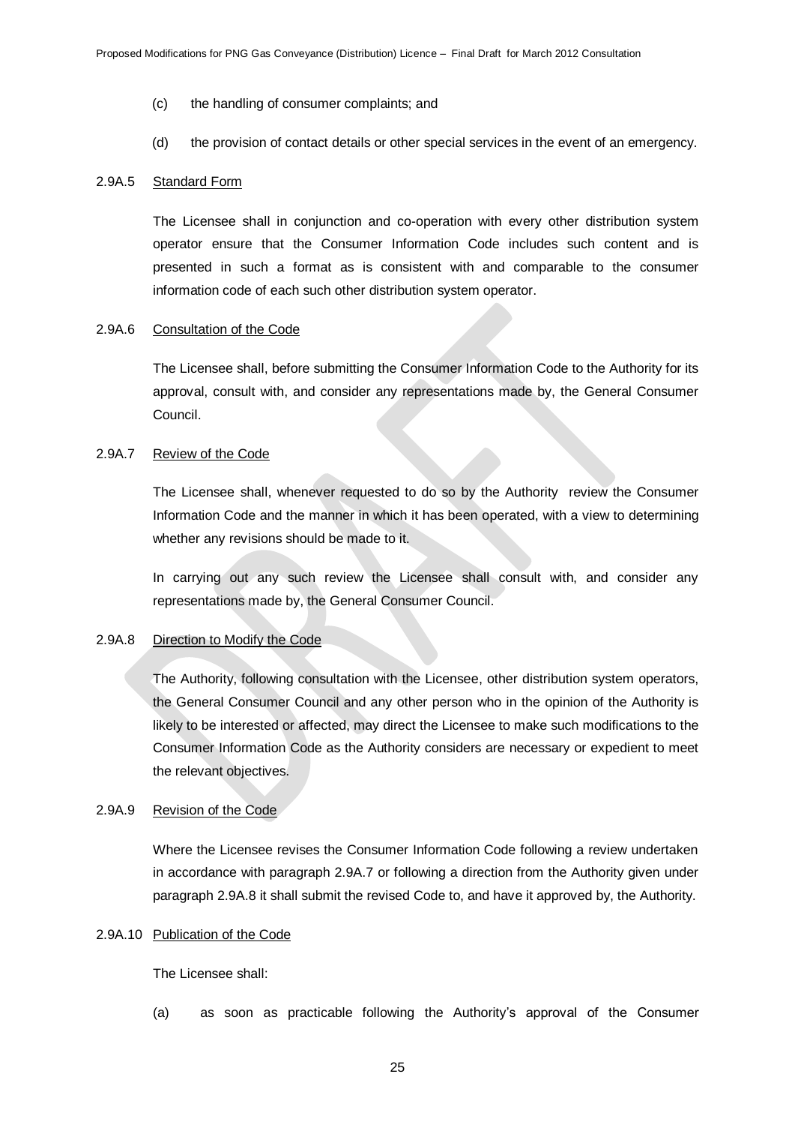- (c) the handling of consumer complaints; and
- (d) the provision of contact details or other special services in the event of an emergency.

#### 2.9A.5 Standard Form

The Licensee shall in conjunction and co-operation with every other distribution system operator ensure that the Consumer Information Code includes such content and is presented in such a format as is consistent with and comparable to the consumer information code of each such other distribution system operator.

# 2.9A.6 Consultation of the Code

The Licensee shall, before submitting the Consumer Information Code to the Authority for its approval, consult with, and consider any representations made by, the General Consumer Council.

#### 2.9A.7 Review of the Code

The Licensee shall, whenever requested to do so by the Authority review the Consumer Information Code and the manner in which it has been operated, with a view to determining whether any revisions should be made to it.

In carrying out any such review the Licensee shall consult with, and consider any representations made by, the General Consumer Council.

#### 2.9A.8 Direction to Modify the Code

The Authority, following consultation with the Licensee, other distribution system operators, the General Consumer Council and any other person who in the opinion of the Authority is likely to be interested or affected, may direct the Licensee to make such modifications to the Consumer Information Code as the Authority considers are necessary or expedient to meet the relevant objectives.

# 2.9A.9 Revision of the Code

Where the Licensee revises the Consumer Information Code following a review undertaken in accordance with paragraph 2.9A.7 or following a direction from the Authority given under paragraph 2.9A.8 it shall submit the revised Code to, and have it approved by, the Authority.

#### 2.9A.10 Publication of the Code

The Licensee shall:

(a) as soon as practicable following the Authority's approval of the Consumer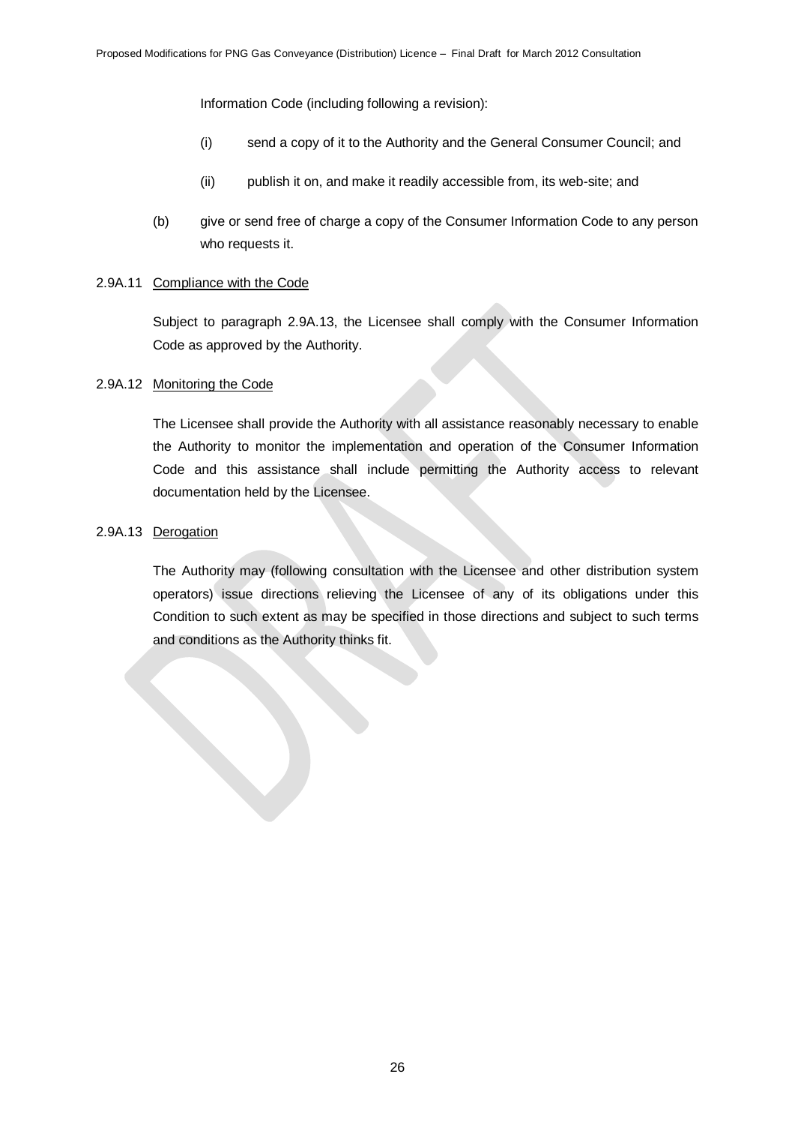Information Code (including following a revision):

- (i) send a copy of it to the Authority and the General Consumer Council; and
- (ii) publish it on, and make it readily accessible from, its web-site; and
- (b) give or send free of charge a copy of the Consumer Information Code to any person who requests it.

### 2.9A.11 Compliance with the Code

Subject to paragraph 2.9A.13, the Licensee shall comply with the Consumer Information Code as approved by the Authority.

#### 2.9A.12 Monitoring the Code

The Licensee shall provide the Authority with all assistance reasonably necessary to enable the Authority to monitor the implementation and operation of the Consumer Information Code and this assistance shall include permitting the Authority access to relevant documentation held by the Licensee.

# 2.9A.13 Derogation

The Authority may (following consultation with the Licensee and other distribution system operators) issue directions relieving the Licensee of any of its obligations under this Condition to such extent as may be specified in those directions and subject to such terms and conditions as the Authority thinks fit.